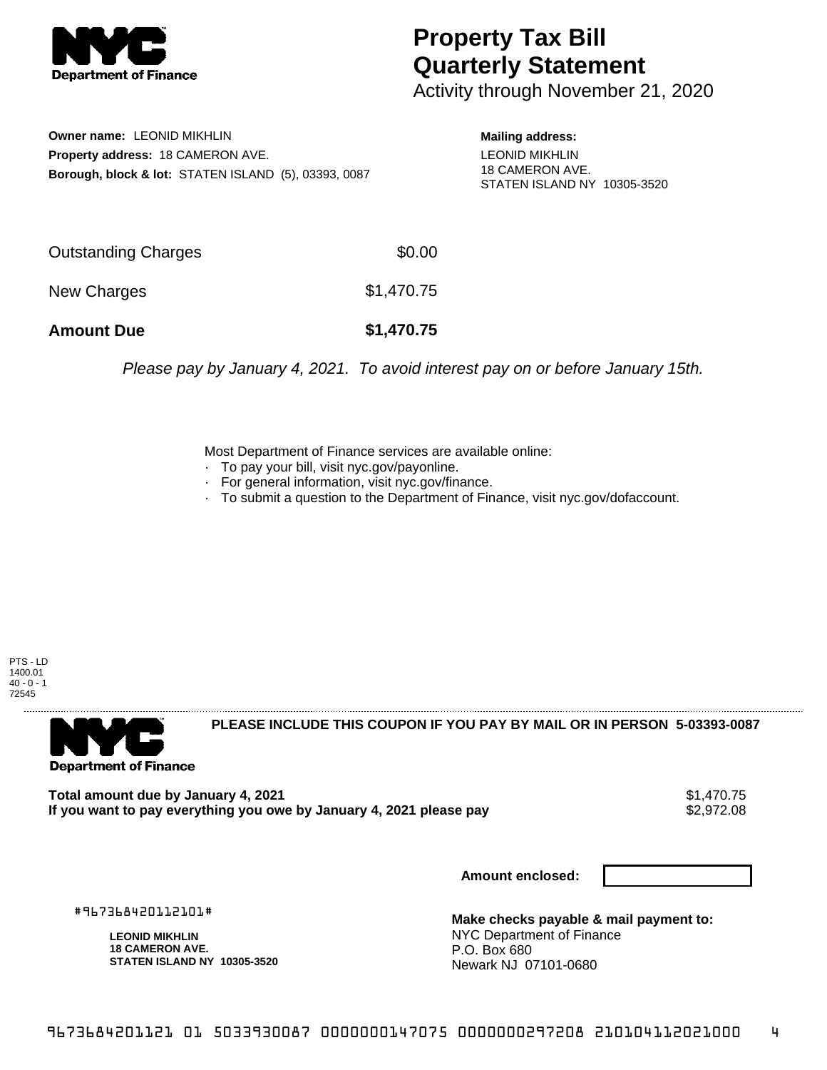

## **Property Tax Bill Quarterly Statement**

Activity through November 21, 2020

**Owner name:** LEONID MIKHLIN **Property address:** 18 CAMERON AVE. **Borough, block & lot:** STATEN ISLAND (5), 03393, 0087 **Mailing address:**

LEONID MIKHLIN 18 CAMERON AVE. STATEN ISLAND NY 10305-3520

| <b>Amount Due</b>   | \$1,470.75 |
|---------------------|------------|
| New Charges         | \$1,470.75 |
| Outstanding Charges | \$0.00     |

Please pay by January 4, 2021. To avoid interest pay on or before January 15th.

Most Department of Finance services are available online:

- · To pay your bill, visit nyc.gov/payonline.
- For general information, visit nyc.gov/finance.
- · To submit a question to the Department of Finance, visit nyc.gov/dofaccount.

PTS - LD 1400.01  $40 - 0 - 1$ 72545



**PLEASE INCLUDE THIS COUPON IF YOU PAY BY MAIL OR IN PERSON 5-03393-0087** 

Total amount due by January 4, 2021<br>If you want to pay everything you owe by January 4, 2021 please pay **show that the set of the set of the set of** If you want to pay everything you owe by January 4, 2021 please pay

**Amount enclosed:**

#967368420112101#

**LEONID MIKHLIN 18 CAMERON AVE. STATEN ISLAND NY 10305-3520**

**Make checks payable & mail payment to:** NYC Department of Finance P.O. Box 680 Newark NJ 07101-0680